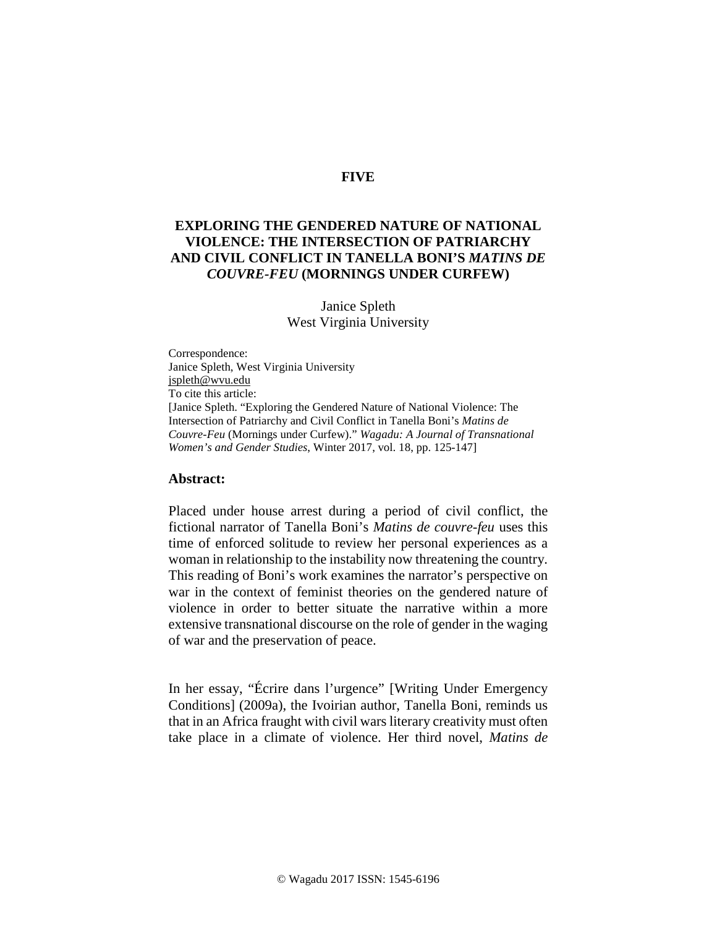## **FIVE**

# **EXPLORING THE GENDERED NATURE OF NATIONAL VIOLENCE: THE INTERSECTION OF PATRIARCHY AND CIVIL CONFLICT IN TANELLA BONI'S** *MATINS DE COUVRE-FEU* **(MORNINGS UNDER CURFEW)**

### Janice Spleth West Virginia University

Correspondence: Janice Spleth, West Virginia University [jspleth@wvu.edu](mailto:jspleth@wvu.edu) To cite this article: [Janice Spleth. "Exploring the Gendered Nature of National Violence: The Intersection of Patriarchy and Civil Conflict in Tanella Boni's *Matins de Couvre-Feu* (Mornings under Curfew)." *Wagadu: A Journal of Transnational Women's and Gender Studies*, Winter 2017, vol. 18, pp. 125-147]

#### **Abstract:**

Placed under house arrest during a period of civil conflict, the fictional narrator of Tanella Boni's *Matins de couvre-feu* uses this time of enforced solitude to review her personal experiences as a woman in relationship to the instability now threatening the country. This reading of Boni's work examines the narrator's perspective on war in the context of feminist theories on the gendered nature of violence in order to better situate the narrative within a more extensive transnational discourse on the role of gender in the waging of war and the preservation of peace.

In her essay, "Écrire dans l'urgence" [Writing Under Emergency Conditions] (2009a), the Ivoirian author, Tanella Boni, reminds us that in an Africa fraught with civil wars literary creativity must often take place in a climate of violence. Her third novel, *Matins de*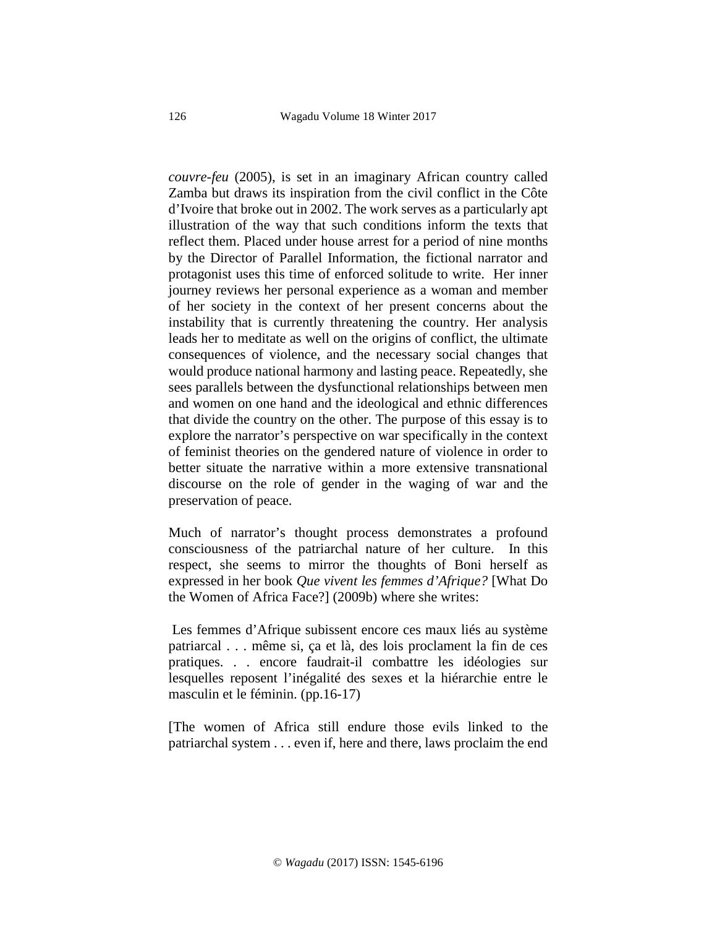*couvre-feu* (2005), is set in an imaginary African country called Zamba but draws its inspiration from the civil conflict in the Côte d'Ivoire that broke out in 2002. The work serves as a particularly apt illustration of the way that such conditions inform the texts that reflect them. Placed under house arrest for a period of nine months by the Director of Parallel Information, the fictional narrator and protagonist uses this time of enforced solitude to write. Her inner journey reviews her personal experience as a woman and member of her society in the context of her present concerns about the instability that is currently threatening the country. Her analysis leads her to meditate as well on the origins of conflict, the ultimate consequences of violence, and the necessary social changes that would produce national harmony and lasting peace. Repeatedly, she sees parallels between the dysfunctional relationships between men and women on one hand and the ideological and ethnic differences that divide the country on the other. The purpose of this essay is to explore the narrator's perspective on war specifically in the context of feminist theories on the gendered nature of violence in order to better situate the narrative within a more extensive transnational discourse on the role of gender in the waging of war and the preservation of peace.

Much of narrator's thought process demonstrates a profound consciousness of the patriarchal nature of her culture. In this respect, she seems to mirror the thoughts of Boni herself as expressed in her book *Que vivent les femmes d'Afrique?* [What Do the Women of Africa Face?] (2009b) where she writes:

Les femmes d'Afrique subissent encore ces maux liés au système patriarcal . . . même si, ça et là, des lois proclament la fin de ces pratiques. . . encore faudrait-il combattre les idéologies sur lesquelles reposent l'inégalité des sexes et la hiérarchie entre le masculin et le féminin. (pp.16-17)

[The women of Africa still endure those evils linked to the patriarchal system . . . even if, here and there, laws proclaim the end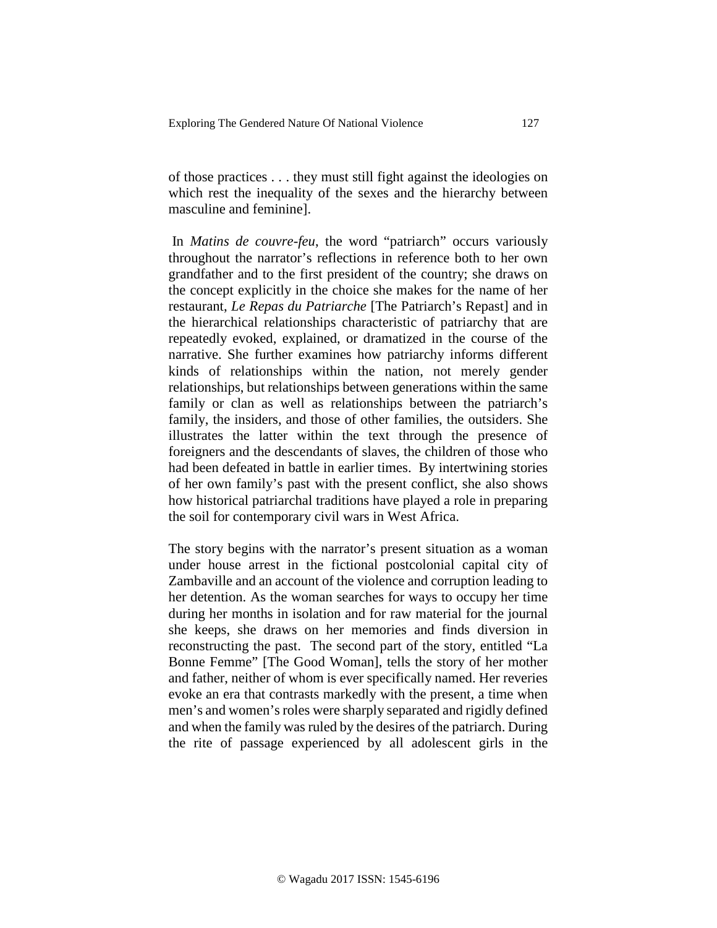of those practices . . . they must still fight against the ideologies on which rest the inequality of the sexes and the hierarchy between masculine and feminine].

In *Matins de couvre-feu*, the word "patriarch" occurs variously throughout the narrator's reflections in reference both to her own grandfather and to the first president of the country; she draws on the concept explicitly in the choice she makes for the name of her restaurant, *Le Repas du Patriarche* [The Patriarch's Repast] and in the hierarchical relationships characteristic of patriarchy that are repeatedly evoked, explained, or dramatized in the course of the narrative. She further examines how patriarchy informs different kinds of relationships within the nation, not merely gender relationships, but relationships between generations within the same family or clan as well as relationships between the patriarch's family, the insiders, and those of other families, the outsiders. She illustrates the latter within the text through the presence of foreigners and the descendants of slaves, the children of those who had been defeated in battle in earlier times. By intertwining stories of her own family's past with the present conflict, she also shows how historical patriarchal traditions have played a role in preparing the soil for contemporary civil wars in West Africa.

The story begins with the narrator's present situation as a woman under house arrest in the fictional postcolonial capital city of Zambaville and an account of the violence and corruption leading to her detention. As the woman searches for ways to occupy her time during her months in isolation and for raw material for the journal she keeps, she draws on her memories and finds diversion in reconstructing the past. The second part of the story, entitled "La Bonne Femme" [The Good Woman], tells the story of her mother and father, neither of whom is ever specifically named. Her reveries evoke an era that contrasts markedly with the present, a time when men's and women's roles were sharply separated and rigidly defined and when the family was ruled by the desires of the patriarch. During the rite of passage experienced by all adolescent girls in the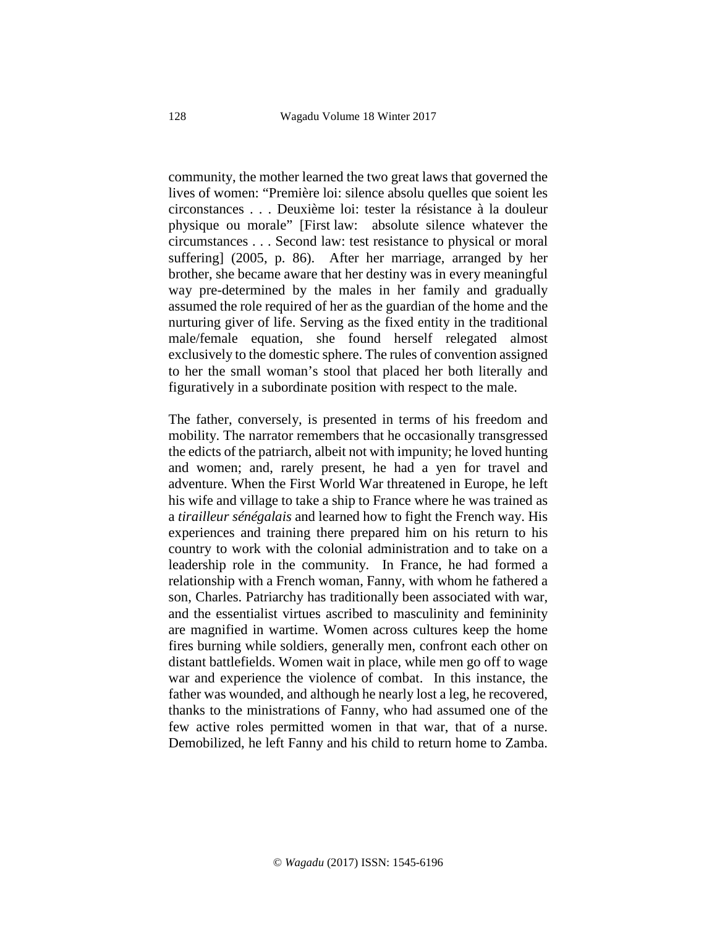community, the mother learned the two great laws that governed the lives of women: "Première loi: silence absolu quelles que soient les circonstances . . . Deuxième loi: tester la résistance à la douleur physique ou morale" [First law: absolute silence whatever the circumstances . . . Second law: test resistance to physical or moral suffering] (2005, p. 86). After her marriage, arranged by her brother, she became aware that her destiny was in every meaningful way pre-determined by the males in her family and gradually assumed the role required of her as the guardian of the home and the nurturing giver of life. Serving as the fixed entity in the traditional male/female equation, she found herself relegated almost exclusively to the domestic sphere. The rules of convention assigned to her the small woman's stool that placed her both literally and figuratively in a subordinate position with respect to the male.

The father, conversely, is presented in terms of his freedom and mobility. The narrator remembers that he occasionally transgressed the edicts of the patriarch, albeit not with impunity; he loved hunting and women; and, rarely present, he had a yen for travel and adventure. When the First World War threatened in Europe, he left his wife and village to take a ship to France where he was trained as a *tirailleur sénégalais* and learned how to fight the French way. His experiences and training there prepared him on his return to his country to work with the colonial administration and to take on a leadership role in the community. In France, he had formed a relationship with a French woman, Fanny, with whom he fathered a son, Charles. Patriarchy has traditionally been associated with war, and the essentialist virtues ascribed to masculinity and femininity are magnified in wartime. Women across cultures keep the home fires burning while soldiers, generally men, confront each other on distant battlefields. Women wait in place, while men go off to wage war and experience the violence of combat. In this instance, the father was wounded, and although he nearly lost a leg, he recovered, thanks to the ministrations of Fanny, who had assumed one of the few active roles permitted women in that war, that of a nurse. Demobilized, he left Fanny and his child to return home to Zamba.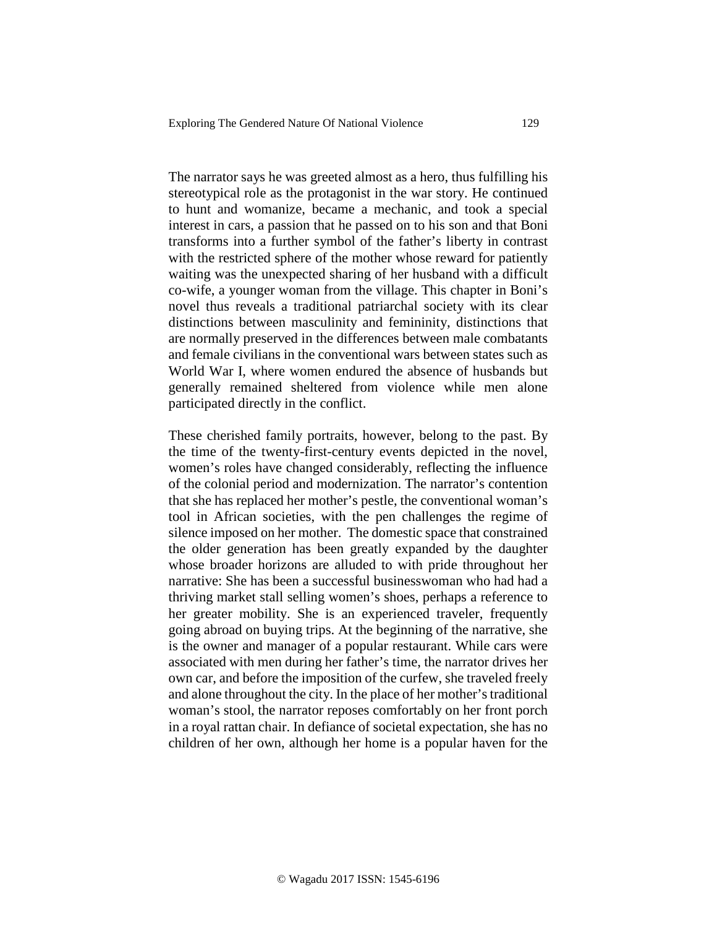The narrator says he was greeted almost as a hero, thus fulfilling his stereotypical role as the protagonist in the war story. He continued to hunt and womanize, became a mechanic, and took a special interest in cars, a passion that he passed on to his son and that Boni transforms into a further symbol of the father's liberty in contrast with the restricted sphere of the mother whose reward for patiently waiting was the unexpected sharing of her husband with a difficult co-wife, a younger woman from the village. This chapter in Boni's novel thus reveals a traditional patriarchal society with its clear distinctions between masculinity and femininity, distinctions that are normally preserved in the differences between male combatants and female civilians in the conventional wars between states such as World War I, where women endured the absence of husbands but generally remained sheltered from violence while men alone participated directly in the conflict.

These cherished family portraits, however, belong to the past. By the time of the twenty-first-century events depicted in the novel, women's roles have changed considerably, reflecting the influence of the colonial period and modernization. The narrator's contention that she has replaced her mother's pestle, the conventional woman's tool in African societies, with the pen challenges the regime of silence imposed on her mother. The domestic space that constrained the older generation has been greatly expanded by the daughter whose broader horizons are alluded to with pride throughout her narrative: She has been a successful businesswoman who had had a thriving market stall selling women's shoes, perhaps a reference to her greater mobility. She is an experienced traveler, frequently going abroad on buying trips. At the beginning of the narrative, she is the owner and manager of a popular restaurant. While cars were associated with men during her father's time, the narrator drives her own car, and before the imposition of the curfew, she traveled freely and alone throughout the city. In the place of her mother's traditional woman's stool, the narrator reposes comfortably on her front porch in a royal rattan chair. In defiance of societal expectation, she has no children of her own, although her home is a popular haven for the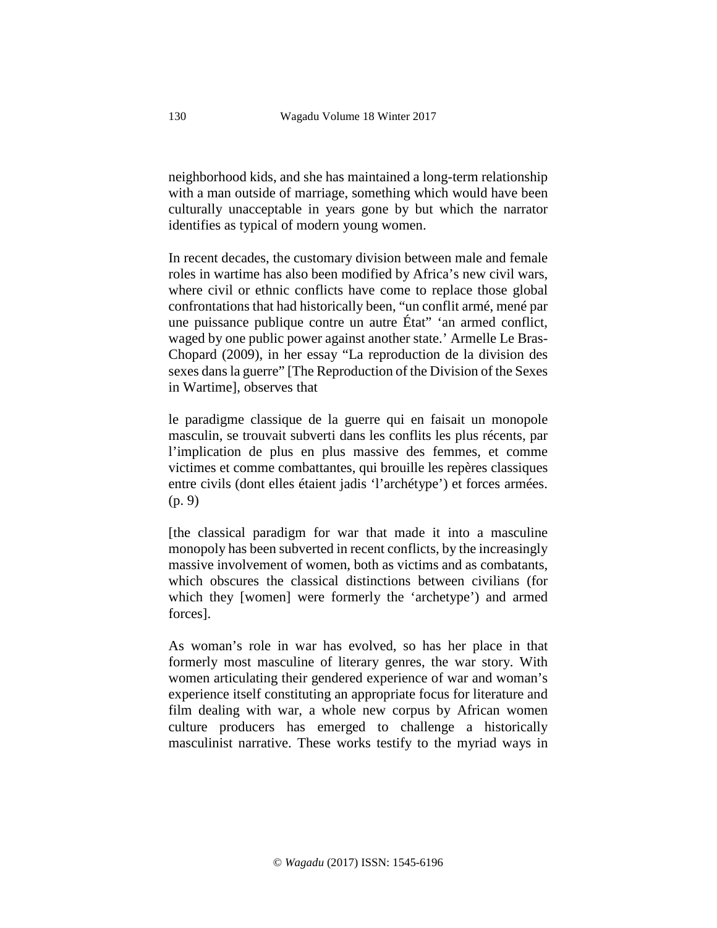neighborhood kids, and she has maintained a long-term relationship with a man outside of marriage, something which would have been culturally unacceptable in years gone by but which the narrator identifies as typical of modern young women.

In recent decades, the customary division between male and female roles in wartime has also been modified by Africa's new civil wars, where civil or ethnic conflicts have come to replace those global confrontations that had historically been, "un conflit armé, mené par une puissance publique contre un autre État" 'an armed conflict, waged by one public power against another state.' Armelle Le Bras-Chopard (2009), in her essay "La reproduction de la division des sexes dans la guerre" [The Reproduction of the Division of the Sexes in Wartime], observes that

le paradigme classique de la guerre qui en faisait un monopole masculin, se trouvait subverti dans les conflits les plus récents, par l'implication de plus en plus massive des femmes, et comme victimes et comme combattantes, qui brouille les repères classiques entre civils (dont elles étaient jadis 'l'archétype') et forces armées. (p. 9)

[the classical paradigm for war that made it into a masculine monopoly has been subverted in recent conflicts, by the increasingly massive involvement of women, both as victims and as combatants, which obscures the classical distinctions between civilians (for which they [women] were formerly the 'archetype') and armed forces].

As woman's role in war has evolved, so has her place in that formerly most masculine of literary genres, the war story. With women articulating their gendered experience of war and woman's experience itself constituting an appropriate focus for literature and film dealing with war, a whole new corpus by African women culture producers has emerged to challenge a historically masculinist narrative. These works testify to the myriad ways in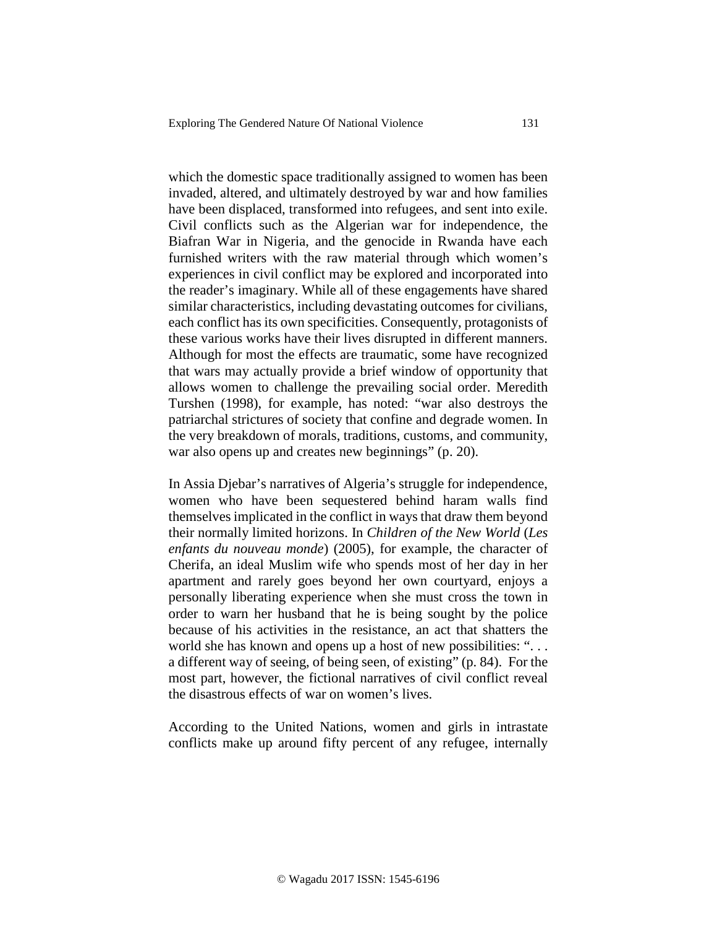which the domestic space traditionally assigned to women has been invaded, altered, and ultimately destroyed by war and how families have been displaced, transformed into refugees, and sent into exile. Civil conflicts such as the Algerian war for independence, the Biafran War in Nigeria, and the genocide in Rwanda have each furnished writers with the raw material through which women's experiences in civil conflict may be explored and incorporated into the reader's imaginary. While all of these engagements have shared similar characteristics, including devastating outcomes for civilians, each conflict has its own specificities. Consequently, protagonists of these various works have their lives disrupted in different manners. Although for most the effects are traumatic, some have recognized that wars may actually provide a brief window of opportunity that allows women to challenge the prevailing social order. Meredith Turshen (1998), for example, has noted: "war also destroys the patriarchal strictures of society that confine and degrade women. In the very breakdown of morals, traditions, customs, and community, war also opens up and creates new beginnings" (p. 20).

In Assia Djebar's narratives of Algeria's struggle for independence, women who have been sequestered behind haram walls find themselves implicated in the conflict in ways that draw them beyond their normally limited horizons. In *Children of the New World* (*Les enfants du nouveau monde*) (2005), for example, the character of Cherifa, an ideal Muslim wife who spends most of her day in her apartment and rarely goes beyond her own courtyard, enjoys a personally liberating experience when she must cross the town in order to warn her husband that he is being sought by the police because of his activities in the resistance, an act that shatters the world she has known and opens up a host of new possibilities: "... a different way of seeing, of being seen, of existing" (p. 84). For the most part, however, the fictional narratives of civil conflict reveal the disastrous effects of war on women's lives.

According to the United Nations, women and girls in intrastate conflicts make up around fifty percent of any refugee, internally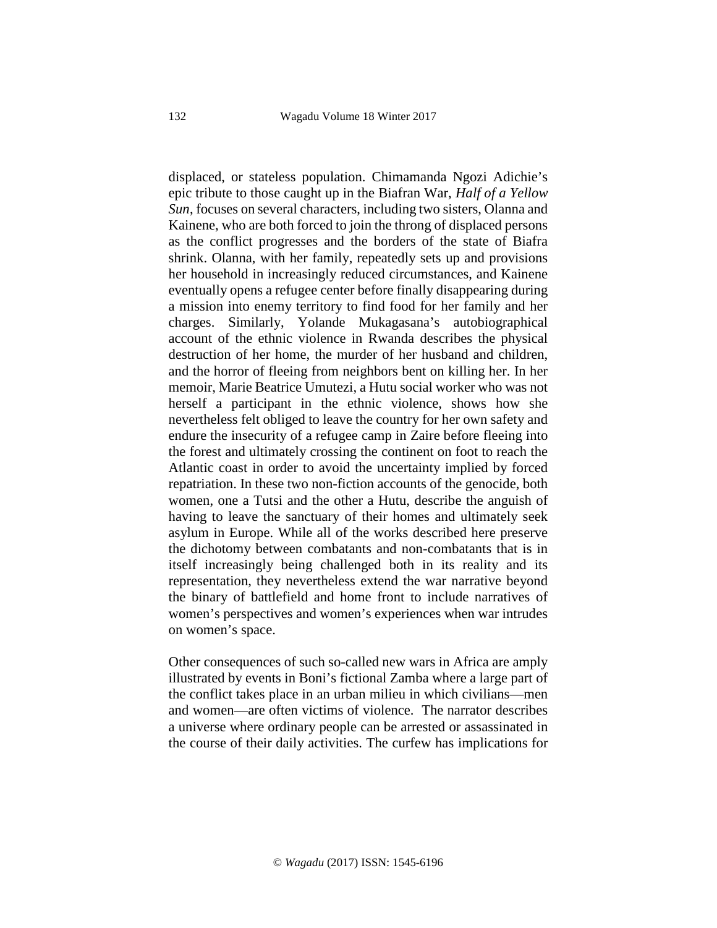displaced, or stateless population. Chimamanda Ngozi Adichie's epic tribute to those caught up in the Biafran War, *Half of a Yellow Sun*, focuses on several characters, including two sisters, Olanna and Kainene, who are both forced to join the throng of displaced persons as the conflict progresses and the borders of the state of Biafra shrink. Olanna, with her family, repeatedly sets up and provisions her household in increasingly reduced circumstances, and Kainene eventually opens a refugee center before finally disappearing during a mission into enemy territory to find food for her family and her charges. Similarly, Yolande Mukagasana's autobiographical account of the ethnic violence in Rwanda describes the physical destruction of her home, the murder of her husband and children, and the horror of fleeing from neighbors bent on killing her. In her memoir, Marie Beatrice Umutezi, a Hutu social worker who was not herself a participant in the ethnic violence, shows how she nevertheless felt obliged to leave the country for her own safety and endure the insecurity of a refugee camp in Zaire before fleeing into the forest and ultimately crossing the continent on foot to reach the Atlantic coast in order to avoid the uncertainty implied by forced repatriation. In these two non-fiction accounts of the genocide, both women, one a Tutsi and the other a Hutu, describe the anguish of having to leave the sanctuary of their homes and ultimately seek asylum in Europe. While all of the works described here preserve the dichotomy between combatants and non-combatants that is in itself increasingly being challenged both in its reality and its representation, they nevertheless extend the war narrative beyond the binary of battlefield and home front to include narratives of women's perspectives and women's experiences when war intrudes on women's space.

Other consequences of such so-called new wars in Africa are amply illustrated by events in Boni's fictional Zamba where a large part of the conflict takes place in an urban milieu in which civilians—men and women—are often victims of violence. The narrator describes a universe where ordinary people can be arrested or assassinated in the course of their daily activities. The curfew has implications for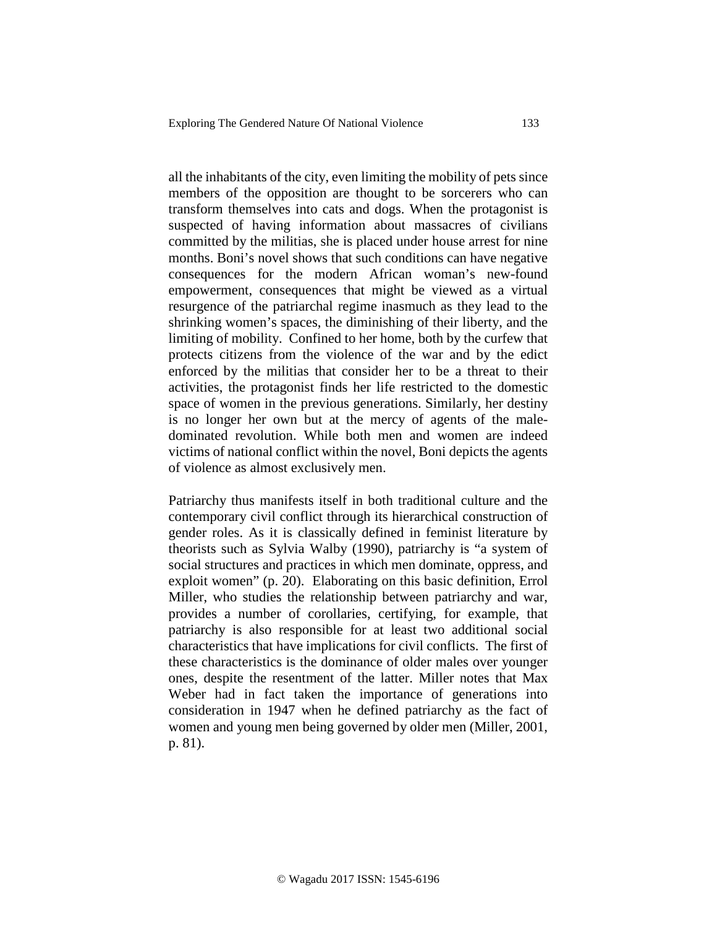all the inhabitants of the city, even limiting the mobility of pets since members of the opposition are thought to be sorcerers who can transform themselves into cats and dogs. When the protagonist is suspected of having information about massacres of civilians committed by the militias, she is placed under house arrest for nine months. Boni's novel shows that such conditions can have negative consequences for the modern African woman's new-found empowerment, consequences that might be viewed as a virtual resurgence of the patriarchal regime inasmuch as they lead to the shrinking women's spaces, the diminishing of their liberty, and the limiting of mobility. Confined to her home, both by the curfew that protects citizens from the violence of the war and by the edict enforced by the militias that consider her to be a threat to their activities, the protagonist finds her life restricted to the domestic space of women in the previous generations. Similarly, her destiny is no longer her own but at the mercy of agents of the maledominated revolution. While both men and women are indeed victims of national conflict within the novel, Boni depicts the agents of violence as almost exclusively men.

Patriarchy thus manifests itself in both traditional culture and the contemporary civil conflict through its hierarchical construction of gender roles. As it is classically defined in feminist literature by theorists such as Sylvia Walby (1990), patriarchy is "a system of social structures and practices in which men dominate, oppress, and exploit women" (p. 20). Elaborating on this basic definition, Errol Miller, who studies the relationship between patriarchy and war, provides a number of corollaries, certifying, for example, that patriarchy is also responsible for at least two additional social characteristics that have implications for civil conflicts. The first of these characteristics is the dominance of older males over younger ones, despite the resentment of the latter. Miller notes that Max Weber had in fact taken the importance of generations into consideration in 1947 when he defined patriarchy as the fact of women and young men being governed by older men (Miller, 2001, p. 81).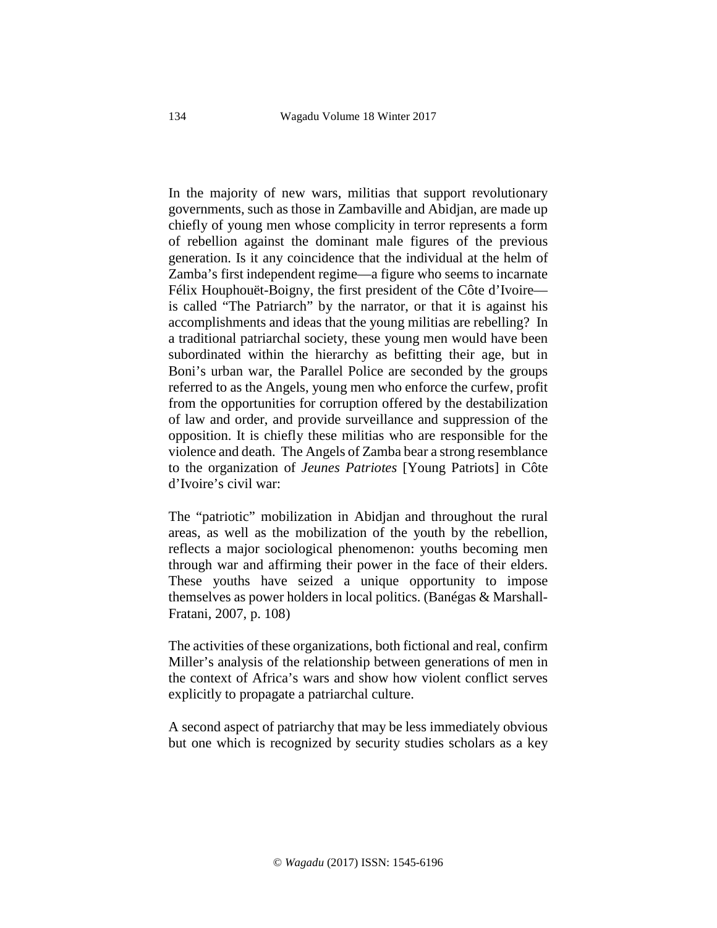In the majority of new wars, militias that support revolutionary governments, such as those in Zambaville and Abidjan, are made up chiefly of young men whose complicity in terror represents a form of rebellion against the dominant male figures of the previous generation. Is it any coincidence that the individual at the helm of Zamba's first independent regime—a figure who seems to incarnate Félix Houphouët-Boigny, the first president of the Côte d'Ivoire is called "The Patriarch" by the narrator, or that it is against his accomplishments and ideas that the young militias are rebelling? In a traditional patriarchal society, these young men would have been subordinated within the hierarchy as befitting their age, but in Boni's urban war, the Parallel Police are seconded by the groups referred to as the Angels, young men who enforce the curfew, profit from the opportunities for corruption offered by the destabilization of law and order, and provide surveillance and suppression of the opposition. It is chiefly these militias who are responsible for the violence and death. The Angels of Zamba bear a strong resemblance to the organization of *Jeunes Patriotes* [Young Patriots] in Côte d'Ivoire's civil war:

The "patriotic" mobilization in Abidjan and throughout the rural areas, as well as the mobilization of the youth by the rebellion, reflects a major sociological phenomenon: youths becoming men through war and affirming their power in the face of their elders. These youths have seized a unique opportunity to impose themselves as power holders in local politics. (Banégas & Marshall-Fratani, 2007, p. 108)

The activities of these organizations, both fictional and real, confirm Miller's analysis of the relationship between generations of men in the context of Africa's wars and show how violent conflict serves explicitly to propagate a patriarchal culture.

A second aspect of patriarchy that may be less immediately obvious but one which is recognized by security studies scholars as a key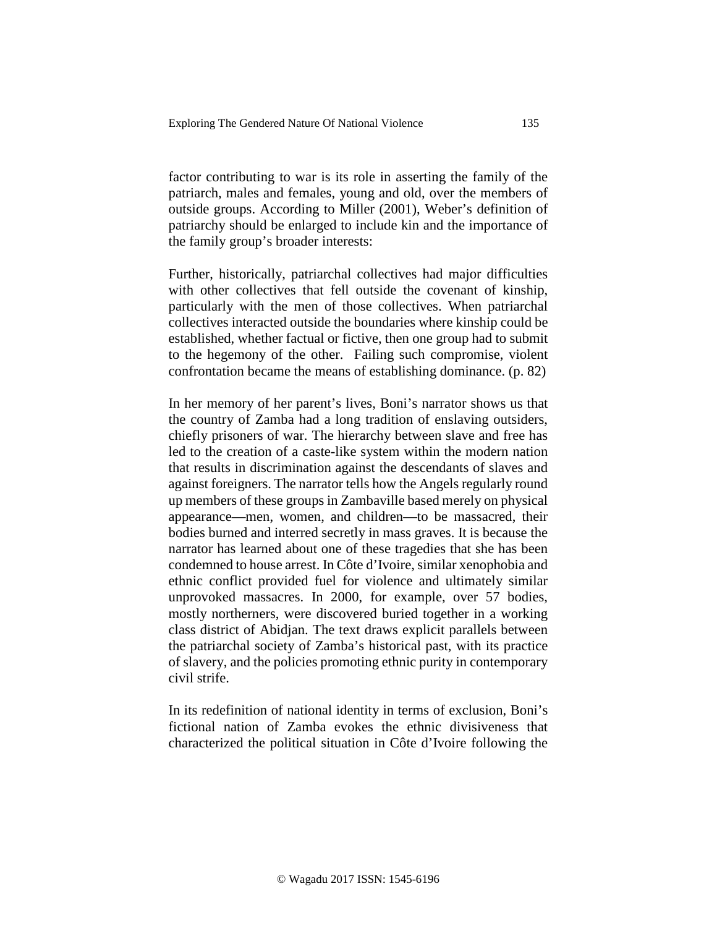factor contributing to war is its role in asserting the family of the patriarch, males and females, young and old, over the members of outside groups. According to Miller (2001), Weber's definition of patriarchy should be enlarged to include kin and the importance of the family group's broader interests:

Further, historically, patriarchal collectives had major difficulties with other collectives that fell outside the covenant of kinship, particularly with the men of those collectives. When patriarchal collectives interacted outside the boundaries where kinship could be established, whether factual or fictive, then one group had to submit to the hegemony of the other. Failing such compromise, violent confrontation became the means of establishing dominance. (p. 82)

In her memory of her parent's lives, Boni's narrator shows us that the country of Zamba had a long tradition of enslaving outsiders, chiefly prisoners of war. The hierarchy between slave and free has led to the creation of a caste-like system within the modern nation that results in discrimination against the descendants of slaves and against foreigners. The narrator tells how the Angels regularly round up members of these groups in Zambaville based merely on physical appearance—men, women, and children—to be massacred, their bodies burned and interred secretly in mass graves. It is because the narrator has learned about one of these tragedies that she has been condemned to house arrest. In Côte d'Ivoire, similar xenophobia and ethnic conflict provided fuel for violence and ultimately similar unprovoked massacres. In 2000, for example, over 57 bodies, mostly northerners, were discovered buried together in a working class district of Abidjan. The text draws explicit parallels between the patriarchal society of Zamba's historical past, with its practice of slavery, and the policies promoting ethnic purity in contemporary civil strife.

In its redefinition of national identity in terms of exclusion, Boni's fictional nation of Zamba evokes the ethnic divisiveness that characterized the political situation in Côte d'Ivoire following the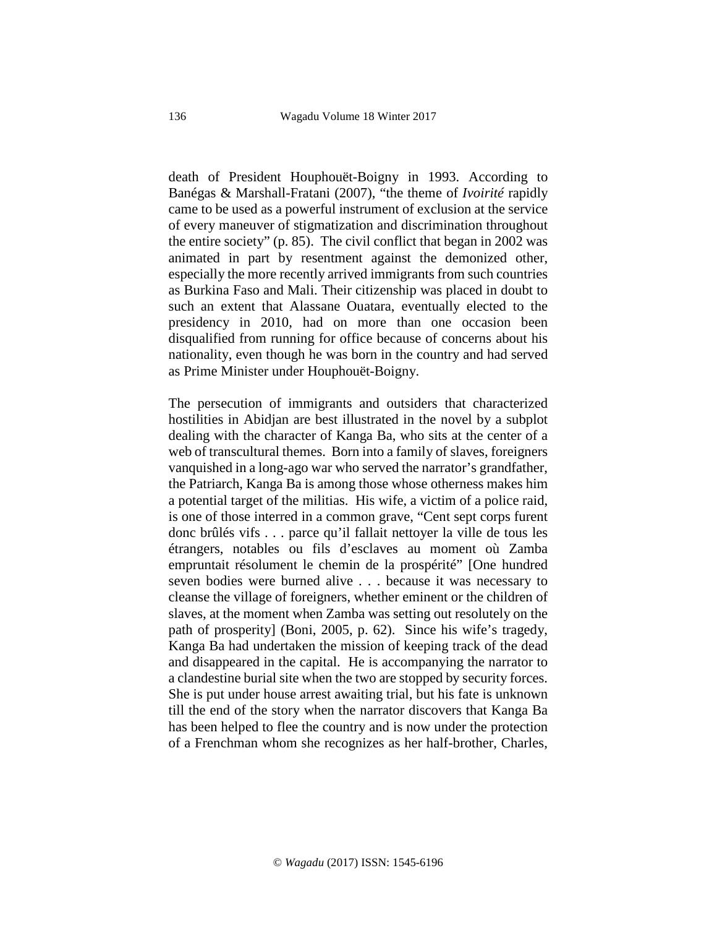death of President Houphouët-Boigny in 1993. According to Banégas & Marshall-Fratani (2007), "the theme of *Ivoirité* rapidly came to be used as a powerful instrument of exclusion at the service of every maneuver of stigmatization and discrimination throughout the entire society" (p. 85). The civil conflict that began in 2002 was animated in part by resentment against the demonized other, especially the more recently arrived immigrants from such countries as Burkina Faso and Mali. Their citizenship was placed in doubt to such an extent that Alassane Ouatara, eventually elected to the presidency in 2010, had on more than one occasion been disqualified from running for office because of concerns about his nationality, even though he was born in the country and had served as Prime Minister under Houphouët-Boigny.

The persecution of immigrants and outsiders that characterized hostilities in Abidjan are best illustrated in the novel by a subplot dealing with the character of Kanga Ba, who sits at the center of a web of transcultural themes. Born into a family of slaves, foreigners vanquished in a long-ago war who served the narrator's grandfather, the Patriarch, Kanga Ba is among those whose otherness makes him a potential target of the militias. His wife, a victim of a police raid, is one of those interred in a common grave, "Cent sept corps furent donc brûlés vifs . . . parce qu'il fallait nettoyer la ville de tous les étrangers, notables ou fils d'esclaves au moment où Zamba empruntait résolument le chemin de la prospérité" [One hundred seven bodies were burned alive . . . because it was necessary to cleanse the village of foreigners, whether eminent or the children of slaves, at the moment when Zamba was setting out resolutely on the path of prosperity] (Boni, 2005, p. 62). Since his wife's tragedy, Kanga Ba had undertaken the mission of keeping track of the dead and disappeared in the capital. He is accompanying the narrator to a clandestine burial site when the two are stopped by security forces. She is put under house arrest awaiting trial, but his fate is unknown till the end of the story when the narrator discovers that Kanga Ba has been helped to flee the country and is now under the protection of a Frenchman whom she recognizes as her half-brother, Charles,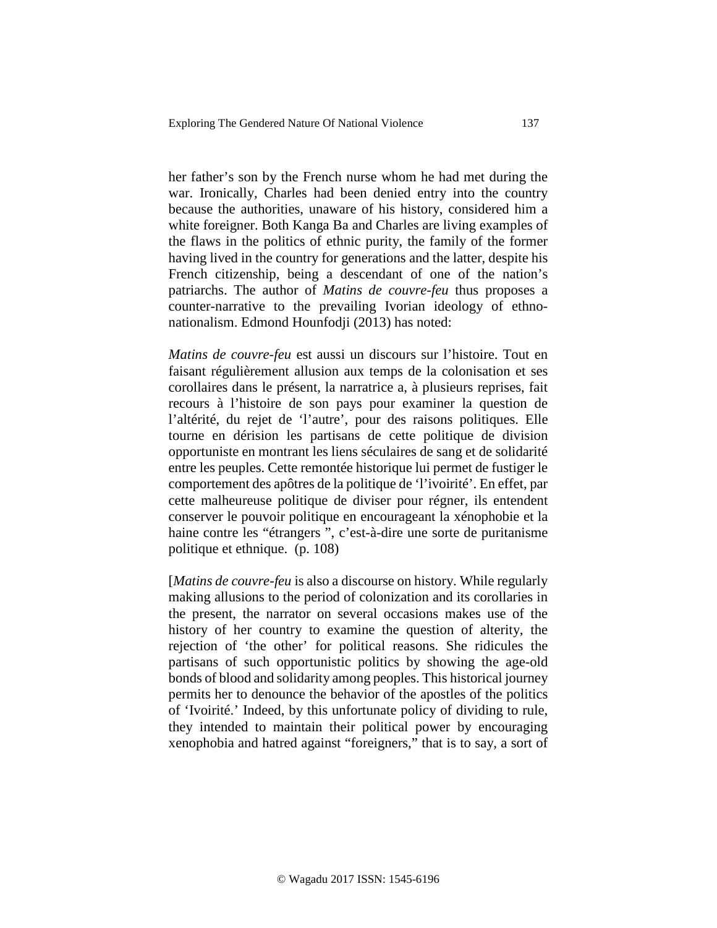her father's son by the French nurse whom he had met during the war. Ironically, Charles had been denied entry into the country because the authorities, unaware of his history, considered him a white foreigner. Both Kanga Ba and Charles are living examples of the flaws in the politics of ethnic purity, the family of the former having lived in the country for generations and the latter, despite his French citizenship, being a descendant of one of the nation's patriarchs. The author of *Matins de couvre-feu* thus proposes a counter-narrative to the prevailing Ivorian ideology of ethnonationalism. Edmond Hounfodji (2013) has noted:

*Matins de couvre-feu* est aussi un discours sur l'histoire. Tout en faisant régulièrement allusion aux temps de la colonisation et ses corollaires dans le présent, la narratrice a, à plusieurs reprises, fait recours à l'histoire de son pays pour examiner la question de l'altérité, du rejet de 'l'autre', pour des raisons politiques. Elle tourne en dérision les partisans de cette politique de division opportuniste en montrant les liens séculaires de sang et de solidarité entre les peuples. Cette remontée historique lui permet de fustiger le comportement des apôtres de la politique de 'l'ivoirité'. En effet, par cette malheureuse politique de diviser pour régner, ils entendent conserver le pouvoir politique en encourageant la xénophobie et la haine contre les "étrangers ", c'est-à-dire une sorte de puritanisme politique et ethnique. (p. 108)

[*Matins de couvre-feu* is also a discourse on history. While regularly making allusions to the period of colonization and its corollaries in the present, the narrator on several occasions makes use of the history of her country to examine the question of alterity, the rejection of 'the other' for political reasons. She ridicules the partisans of such opportunistic politics by showing the age-old bonds of blood and solidarity among peoples. This historical journey permits her to denounce the behavior of the apostles of the politics of 'Ivoirité.' Indeed, by this unfortunate policy of dividing to rule, they intended to maintain their political power by encouraging xenophobia and hatred against "foreigners," that is to say, a sort of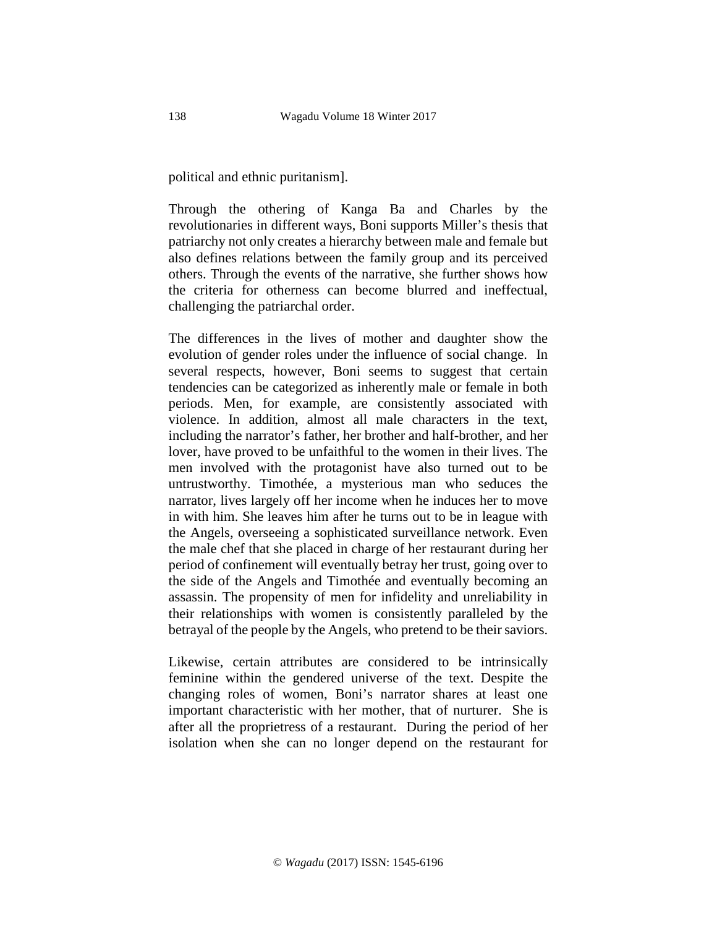political and ethnic puritanism].

Through the othering of Kanga Ba and Charles by the revolutionaries in different ways, Boni supports Miller's thesis that patriarchy not only creates a hierarchy between male and female but also defines relations between the family group and its perceived others. Through the events of the narrative, she further shows how the criteria for otherness can become blurred and ineffectual, challenging the patriarchal order.

The differences in the lives of mother and daughter show the evolution of gender roles under the influence of social change. In several respects, however, Boni seems to suggest that certain tendencies can be categorized as inherently male or female in both periods. Men, for example, are consistently associated with violence. In addition, almost all male characters in the text, including the narrator's father, her brother and half-brother, and her lover, have proved to be unfaithful to the women in their lives. The men involved with the protagonist have also turned out to be untrustworthy. Timothée, a mysterious man who seduces the narrator, lives largely off her income when he induces her to move in with him. She leaves him after he turns out to be in league with the Angels, overseeing a sophisticated surveillance network. Even the male chef that she placed in charge of her restaurant during her period of confinement will eventually betray her trust, going over to the side of the Angels and Timothée and eventually becoming an assassin. The propensity of men for infidelity and unreliability in their relationships with women is consistently paralleled by the betrayal of the people by the Angels, who pretend to be their saviors.

Likewise, certain attributes are considered to be intrinsically feminine within the gendered universe of the text. Despite the changing roles of women, Boni's narrator shares at least one important characteristic with her mother, that of nurturer. She is after all the proprietress of a restaurant. During the period of her isolation when she can no longer depend on the restaurant for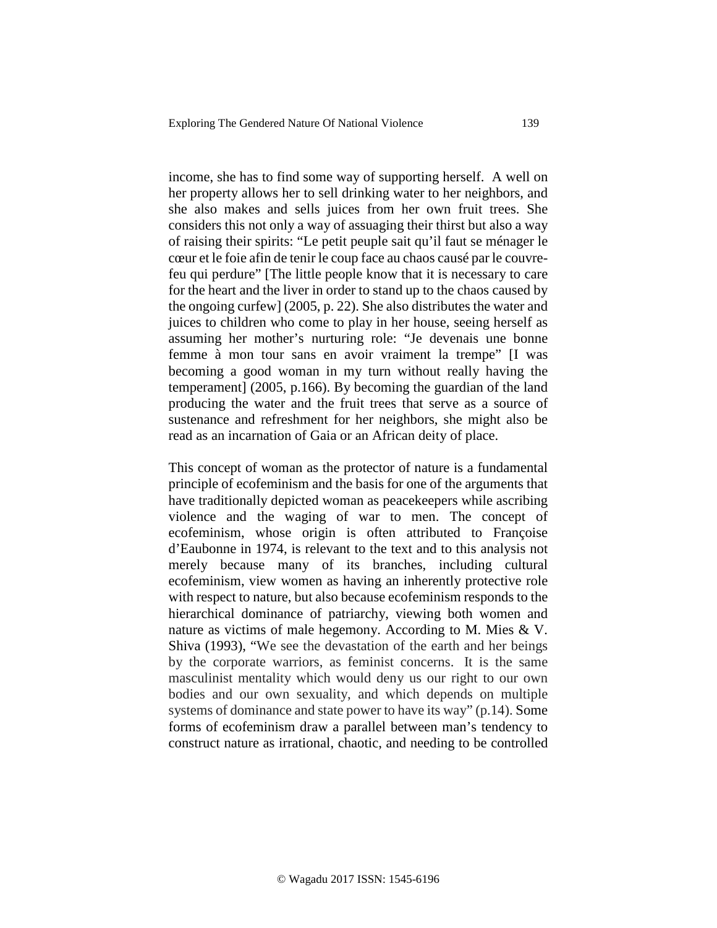income, she has to find some way of supporting herself. A well on her property allows her to sell drinking water to her neighbors, and she also makes and sells juices from her own fruit trees. She considers this not only a way of assuaging their thirst but also a way of raising their spirits: "Le petit peuple sait qu'il faut se ménager le cœur et le foie afin de tenir le coup face au chaos causé par le couvrefeu qui perdure" [The little people know that it is necessary to care for the heart and the liver in order to stand up to the chaos caused by the ongoing curfew] (2005, p. 22). She also distributes the water and juices to children who come to play in her house, seeing herself as assuming her mother's nurturing role: "Je devenais une bonne femme à mon tour sans en avoir vraiment la trempe" [I was becoming a good woman in my turn without really having the temperament] (2005, p.166). By becoming the guardian of the land producing the water and the fruit trees that serve as a source of sustenance and refreshment for her neighbors, she might also be read as an incarnation of Gaia or an African deity of place.

This concept of woman as the protector of nature is a fundamental principle of ecofeminism and the basis for one of the arguments that have traditionally depicted woman as peacekeepers while ascribing violence and the waging of war to men. The concept of ecofeminism, whose origin is often attributed to Françoise d'Eaubonne in 1974, is relevant to the text and to this analysis not merely because many of its branches, including cultural ecofeminism, view women as having an inherently protective role with respect to nature, but also because ecofeminism responds to the hierarchical dominance of patriarchy, viewing both women and nature as victims of male hegemony. According to M. Mies & V. Shiva (1993), "We see the devastation of the earth and her beings by the corporate warriors, as feminist concerns. It is the same masculinist mentality which would deny us our right to our own bodies and our own sexuality, and which depends on multiple systems of dominance and state power to have its way" (p.14). Some forms of ecofeminism draw a parallel between man's tendency to construct nature as irrational, chaotic, and needing to be controlled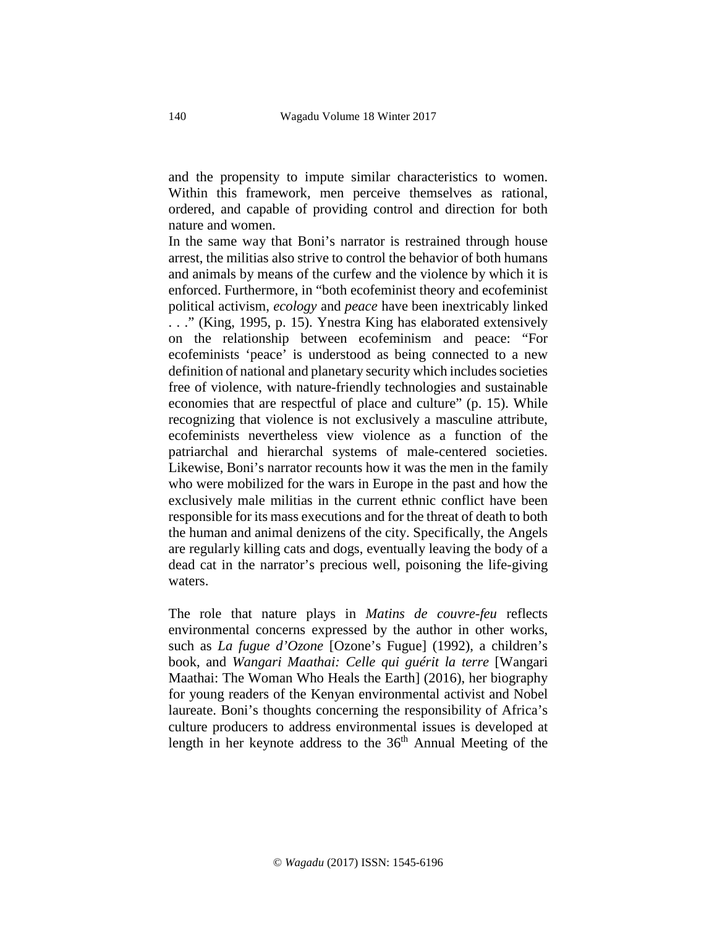and the propensity to impute similar characteristics to women. Within this framework, men perceive themselves as rational, ordered, and capable of providing control and direction for both nature and women.

In the same way that Boni's narrator is restrained through house arrest, the militias also strive to control the behavior of both humans and animals by means of the curfew and the violence by which it is enforced. Furthermore, in "both ecofeminist theory and ecofeminist political activism, *ecology* and *peace* have been inextricably linked . . ." (King, 1995, p. 15). Ynestra King has elaborated extensively on the relationship between ecofeminism and peace: "For ecofeminists 'peace' is understood as being connected to a new definition of national and planetary security which includes societies free of violence, with nature-friendly technologies and sustainable economies that are respectful of place and culture" (p. 15). While recognizing that violence is not exclusively a masculine attribute, ecofeminists nevertheless view violence as a function of the patriarchal and hierarchal systems of male-centered societies. Likewise, Boni's narrator recounts how it was the men in the family who were mobilized for the wars in Europe in the past and how the exclusively male militias in the current ethnic conflict have been responsible for its mass executions and for the threat of death to both the human and animal denizens of the city. Specifically, the Angels are regularly killing cats and dogs, eventually leaving the body of a dead cat in the narrator's precious well, poisoning the life-giving waters.

The role that nature plays in *Matins de couvre-feu* reflects environmental concerns expressed by the author in other works, such as *La fugue d'Ozone* [Ozone's Fugue] (1992), a children's book, and *Wangari Maathai: Celle qui guérit la terre* [Wangari Maathai: The Woman Who Heals the Earth] (2016), her biography for young readers of the Kenyan environmental activist and Nobel laureate. Boni's thoughts concerning the responsibility of Africa's culture producers to address environmental issues is developed at length in her keynote address to the 36th Annual Meeting of the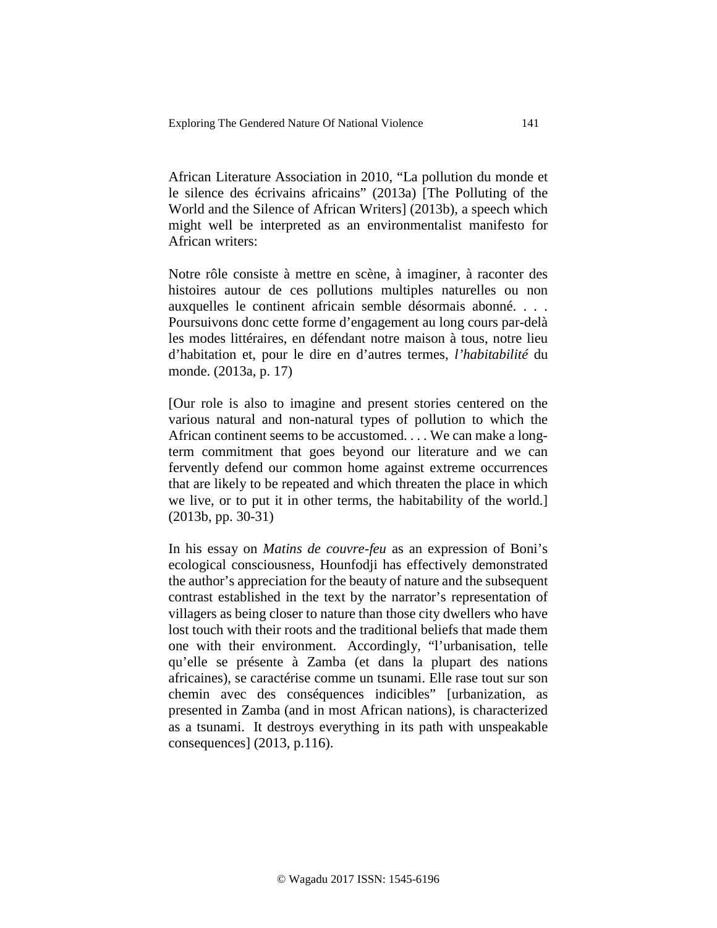African Literature Association in 2010, "La pollution du monde et le silence des écrivains africains" (2013a) [The Polluting of the World and the Silence of African Writers] (2013b), a speech which might well be interpreted as an environmentalist manifesto for African writers:

Notre rôle consiste à mettre en scène, à imaginer, à raconter des histoires autour de ces pollutions multiples naturelles ou non auxquelles le continent africain semble désormais abonné. . . . Poursuivons donc cette forme d'engagement au long cours par-delà les modes littéraires, en défendant notre maison à tous, notre lieu d'habitation et, pour le dire en d'autres termes, *l'habitabilité* du monde. (2013a, p. 17)

[Our role is also to imagine and present stories centered on the various natural and non-natural types of pollution to which the African continent seems to be accustomed. . . . We can make a longterm commitment that goes beyond our literature and we can fervently defend our common home against extreme occurrences that are likely to be repeated and which threaten the place in which we live, or to put it in other terms, the habitability of the world.] (2013b, pp. 30-31)

In his essay on *Matins de couvre-feu* as an expression of Boni's ecological consciousness, Hounfodji has effectively demonstrated the author's appreciation for the beauty of nature and the subsequent contrast established in the text by the narrator's representation of villagers as being closer to nature than those city dwellers who have lost touch with their roots and the traditional beliefs that made them one with their environment. Accordingly, "l'urbanisation, telle qu'elle se présente à Zamba (et dans la plupart des nations africaines), se caractérise comme un tsunami. Elle rase tout sur son chemin avec des conséquences indicibles" [urbanization, as presented in Zamba (and in most African nations), is characterized as a tsunami. It destroys everything in its path with unspeakable consequences] (2013, p.116).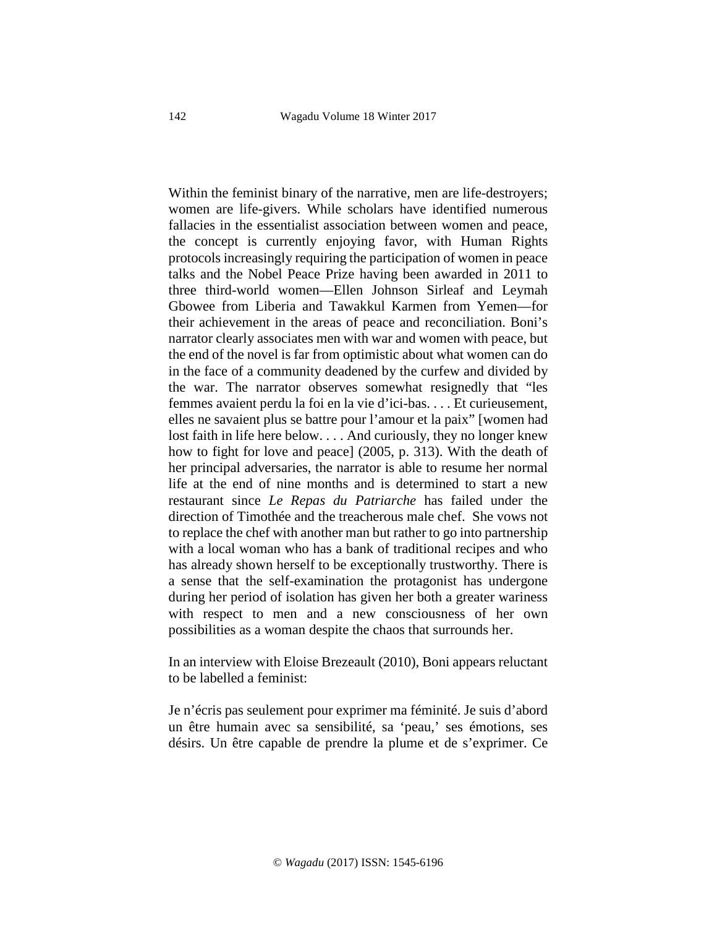Within the feminist binary of the narrative, men are life-destroyers; women are life-givers. While scholars have identified numerous fallacies in the essentialist association between women and peace, the concept is currently enjoying favor, with Human Rights protocols increasingly requiring the participation of women in peace talks and the Nobel Peace Prize having been awarded in 2011 to three third-world women––Ellen Johnson Sirleaf and Leymah Gbowee from Liberia and Tawakkul Karmen from Yemen––for their achievement in the areas of peace and reconciliation. Boni's narrator clearly associates men with war and women with peace, but the end of the novel is far from optimistic about what women can do in the face of a community deadened by the curfew and divided by the war. The narrator observes somewhat resignedly that "les femmes avaient perdu la foi en la vie d'ici-bas. . . . Et curieusement, elles ne savaient plus se battre pour l'amour et la paix" [women had lost faith in life here below. . . . And curiously, they no longer knew how to fight for love and peace] (2005, p. 313). With the death of her principal adversaries, the narrator is able to resume her normal life at the end of nine months and is determined to start a new restaurant since *Le Repas du Patriarche* has failed under the direction of Timothée and the treacherous male chef. She vows not to replace the chef with another man but rather to go into partnership with a local woman who has a bank of traditional recipes and who has already shown herself to be exceptionally trustworthy. There is a sense that the self-examination the protagonist has undergone during her period of isolation has given her both a greater wariness with respect to men and a new consciousness of her own possibilities as a woman despite the chaos that surrounds her.

In an interview with Eloise Brezeault (2010), Boni appears reluctant to be labelled a feminist:

Je n'écris pas seulement pour exprimer ma féminité. Je suis d'abord un être humain avec sa sensibilité, sa 'peau,' ses émotions, ses désirs. Un être capable de prendre la plume et de s'exprimer. Ce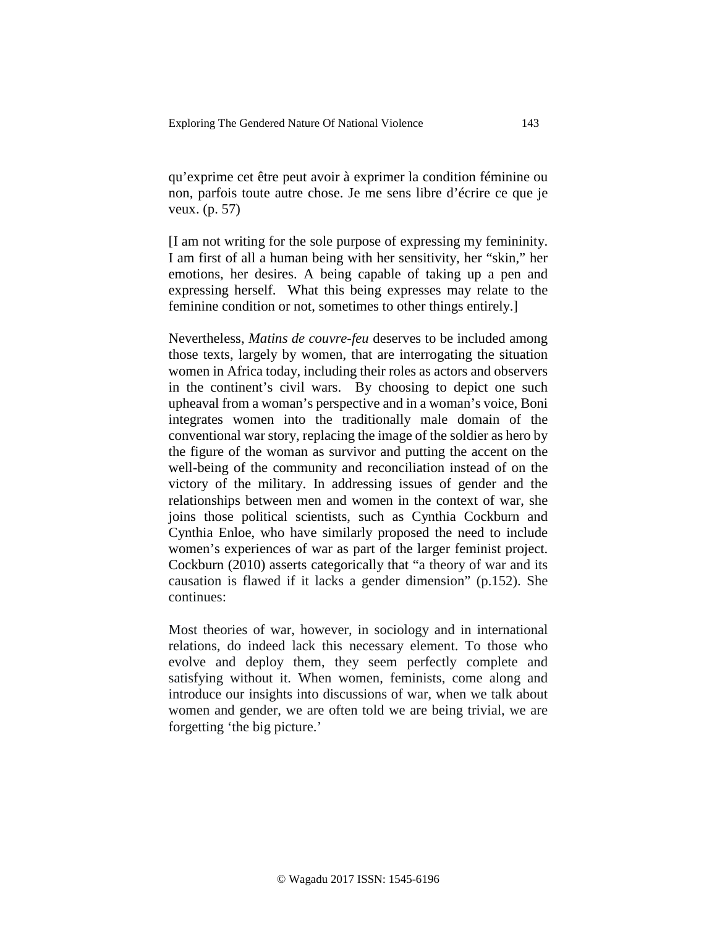qu'exprime cet être peut avoir à exprimer la condition féminine ou non, parfois toute autre chose. Je me sens libre d'écrire ce que je veux. (p. 57)

[I am not writing for the sole purpose of expressing my femininity. I am first of all a human being with her sensitivity, her "skin," her emotions, her desires. A being capable of taking up a pen and expressing herself. What this being expresses may relate to the feminine condition or not, sometimes to other things entirely.]

Nevertheless, *Matins de couvre-feu* deserves to be included among those texts, largely by women, that are interrogating the situation women in Africa today, including their roles as actors and observers in the continent's civil wars. By choosing to depict one such upheaval from a woman's perspective and in a woman's voice, Boni integrates women into the traditionally male domain of the conventional war story, replacing the image of the soldier as hero by the figure of the woman as survivor and putting the accent on the well-being of the community and reconciliation instead of on the victory of the military. In addressing issues of gender and the relationships between men and women in the context of war, she joins those political scientists, such as Cynthia Cockburn and Cynthia Enloe, who have similarly proposed the need to include women's experiences of war as part of the larger feminist project. Cockburn (2010) asserts categorically that "a theory of war and its causation is flawed if it lacks a gender dimension" (p.152). She continues:

Most theories of war, however, in sociology and in international relations, do indeed lack this necessary element. To those who evolve and deploy them, they seem perfectly complete and satisfying without it. When women, feminists, come along and introduce our insights into discussions of war, when we talk about women and gender, we are often told we are being trivial, we are forgetting 'the big picture.'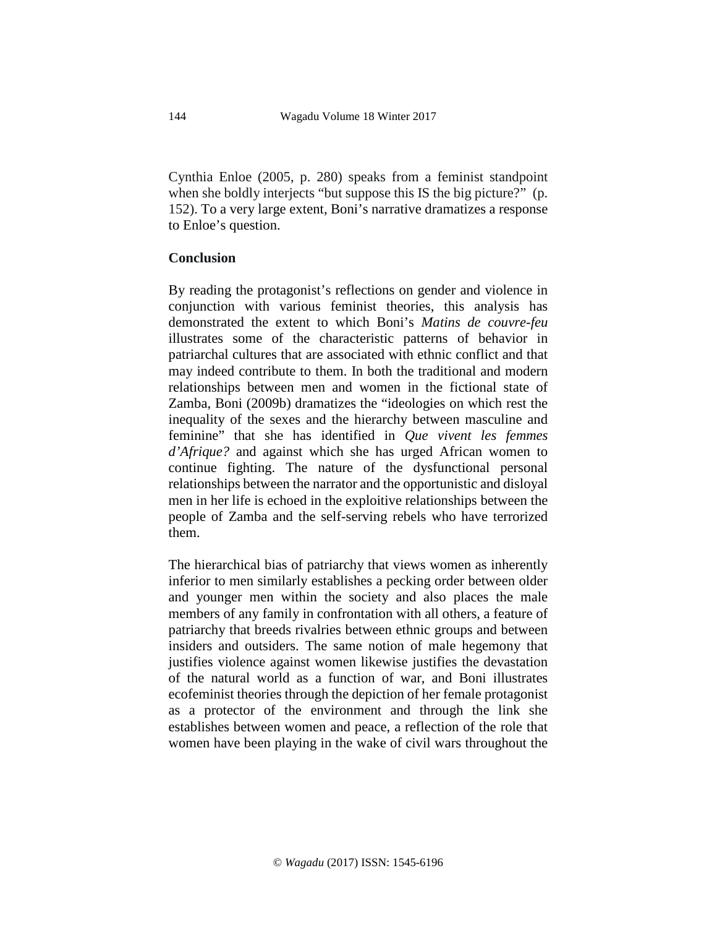Cynthia Enloe (2005, p. 280) speaks from a feminist standpoint when she boldly interjects "but suppose this IS the big picture?" (p. 152). To a very large extent, Boni's narrative dramatizes a response to Enloe's question.

### **Conclusion**

By reading the protagonist's reflections on gender and violence in conjunction with various feminist theories, this analysis has demonstrated the extent to which Boni's *Matins de couvre-feu* illustrates some of the characteristic patterns of behavior in patriarchal cultures that are associated with ethnic conflict and that may indeed contribute to them. In both the traditional and modern relationships between men and women in the fictional state of Zamba, Boni (2009b) dramatizes the "ideologies on which rest the inequality of the sexes and the hierarchy between masculine and feminine" that she has identified in *Que vivent les femmes d'Afrique?* and against which she has urged African women to continue fighting. The nature of the dysfunctional personal relationships between the narrator and the opportunistic and disloyal men in her life is echoed in the exploitive relationships between the people of Zamba and the self-serving rebels who have terrorized them.

The hierarchical bias of patriarchy that views women as inherently inferior to men similarly establishes a pecking order between older and younger men within the society and also places the male members of any family in confrontation with all others, a feature of patriarchy that breeds rivalries between ethnic groups and between insiders and outsiders. The same notion of male hegemony that justifies violence against women likewise justifies the devastation of the natural world as a function of war, and Boni illustrates ecofeminist theories through the depiction of her female protagonist as a protector of the environment and through the link she establishes between women and peace, a reflection of the role that women have been playing in the wake of civil wars throughout the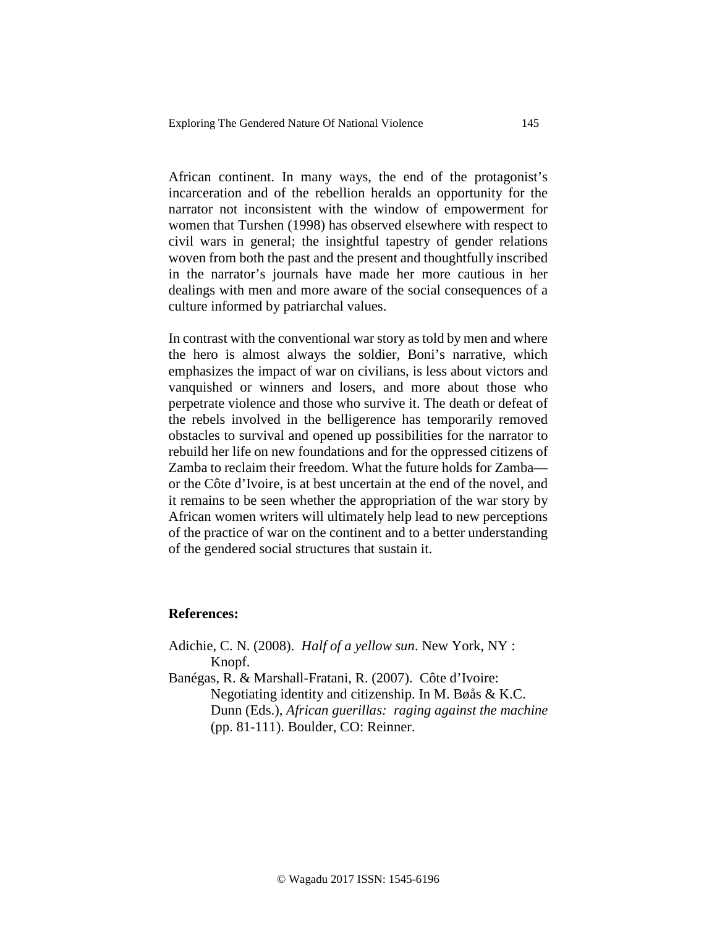African continent. In many ways, the end of the protagonist's incarceration and of the rebellion heralds an opportunity for the narrator not inconsistent with the window of empowerment for women that Turshen (1998) has observed elsewhere with respect to civil wars in general; the insightful tapestry of gender relations woven from both the past and the present and thoughtfully inscribed in the narrator's journals have made her more cautious in her dealings with men and more aware of the social consequences of a culture informed by patriarchal values.

In contrast with the conventional war story as told by men and where the hero is almost always the soldier, Boni's narrative, which emphasizes the impact of war on civilians, is less about victors and vanquished or winners and losers, and more about those who perpetrate violence and those who survive it. The death or defeat of the rebels involved in the belligerence has temporarily removed obstacles to survival and opened up possibilities for the narrator to rebuild her life on new foundations and for the oppressed citizens of Zamba to reclaim their freedom. What the future holds for Zamba or the Côte d'Ivoire, is at best uncertain at the end of the novel, and it remains to be seen whether the appropriation of the war story by African women writers will ultimately help lead to new perceptions of the practice of war on the continent and to a better understanding of the gendered social structures that sustain it.

### **References:**

Adichie, C. N. (2008). *Half of a yellow sun*. New York, NY : Knopf.

Banégas, R. & Marshall-Fratani, R. (2007). Côte d'Ivoire: Negotiating identity and citizenship. In M. Bøås & K.C. Dunn (Eds.), *African guerillas: raging against the machine*  (pp. 81-111). Boulder, CO: Reinner.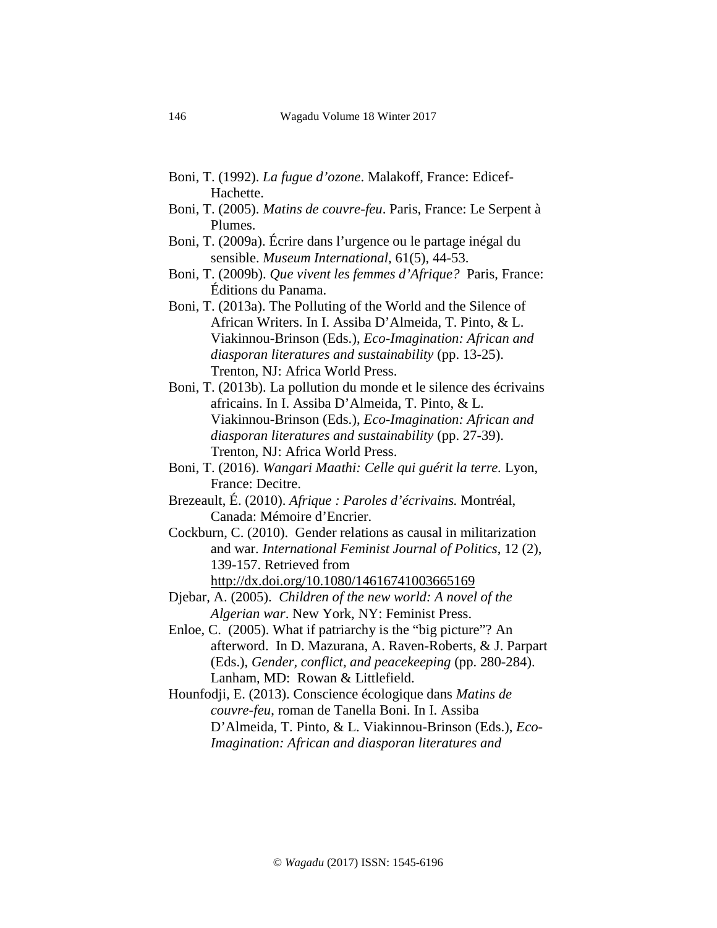- Boni, T. (1992). *La fugue d'ozone*. Malakoff, France: Edicef-Hachette.
- Boni, T. (2005). *Matins de couvre-feu*. Paris, France: Le Serpent à Plumes.
- Boni, T. (2009a). Écrire dans l'urgence ou le partage inégal du sensible. *Museum International*, 61(5), 44-53.
- Boni, T. (2009b). *Que vivent les femmes d'Afrique?* Paris, France: Éditions du Panama.
- Boni, T. (2013a). The Polluting of the World and the Silence of African Writers. In I. Assiba D'Almeida, T. Pinto, & L. Viakinnou-Brinson (Eds.), *Eco-Imagination: African and diasporan literatures and sustainability* (pp. 13-25). Trenton, NJ: Africa World Press.
- Boni, T. (2013b). La pollution du monde et le silence des écrivains africains. In I. Assiba D'Almeida, T. Pinto, & L. Viakinnou-Brinson (Eds.), *Eco-Imagination: African and diasporan literatures and sustainability* (pp. 27-39). Trenton, NJ: Africa World Press.
- Boni, T. (2016). *Wangari Maathi: Celle qui guérit la terre.* Lyon, France: Decitre.
- Brezeault, É. (2010). *Afrique : Paroles d'écrivains.* Montréal, Canada: Mémoire d'Encrier.
- Cockburn, C. (2010). Gender relations as causal in militarization and war. *International Feminist Journal of Politics*, 12 (2), 139-157. Retrieved from <http://dx.doi.org/10.1080/14616741003665169>
- Djebar, A. (2005). *Children of the new world: A novel of the Algerian war*. New York, NY: Feminist Press.
- Enloe, C. (2005). What if patriarchy is the "big picture"? An afterword. In D. Mazurana, A. Raven-Roberts, & J. Parpart (Eds.), *Gender, conflict, and peacekeeping* (pp. 280-284). Lanham, MD: Rowan & Littlefield.
- Hounfodji, E. (2013). Conscience écologique dans *Matins de couvre-feu*, roman de Tanella Boni. In I. Assiba D'Almeida, T. Pinto, & L. Viakinnou-Brinson (Eds.), *Eco-Imagination: African and diasporan literatures and*